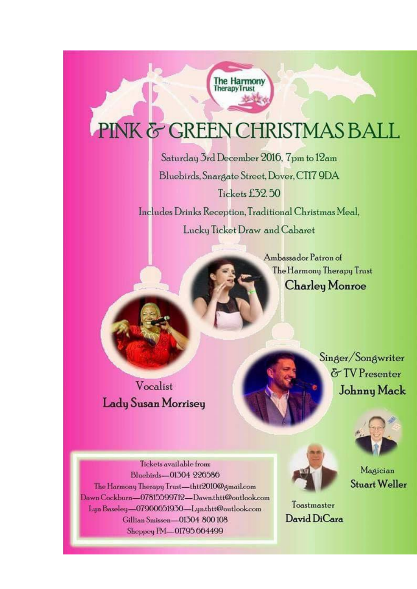## PINK & GREEN CHRISTMAS BALL

The Harmony **TherapyTrust** 

Saturday 3rd December 2016, 7pm to 12am Bluebirds, Snargate Street, Dover, CT17 9DA Tickets £32.50 Includes Drinks Reception, Traditional Christmas Meal. Lucky Ticket Draw and Cabaret

> Ambassador Patron of The Harmony Therapy Trust **Charley Monroe**

Vocalist **Lady Susan Morrisey**  Singer/Songwriter & TV Presenter Johnny Mack



Tickets available from: Bluebirds-01304 226586 The Harmony Therapy Trust-thtt2010@gmail.com Dawn Cockburn-07815599712-Dawn.thtt@outlook.com Lyn Baseley-07960651930-Lyn.thtt@outlook.com Gillian Smissen-01304 800108 Sheppey FM-01795 664499



Magician **Stuart Weller** 

Toastmaster David DiCara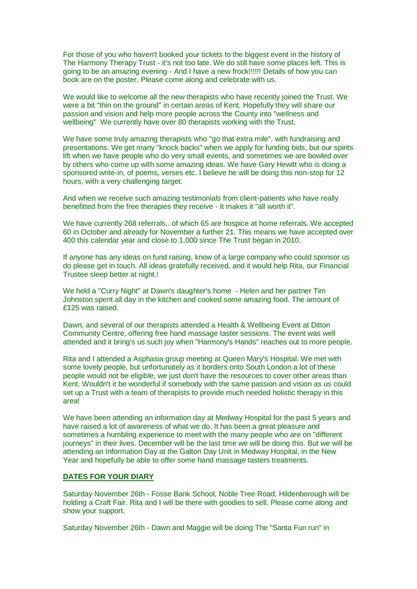For those of you who haven't booked your tickets to the biggest event in the history of The Harmony Therapy Trust - it's not too late. We do still have some places left. This is going to be an amazing evening - And I have a new frock!!!!!! Details of how you can book are on the poster. Please come along and celebrate with us.

We would like to welcome all the new therapists who have recently joined the Trust. We were a bit "thin on the ground" in certain areas of Kent. Hopefully they will share our passion and vision and help more people across the County into "wellness and wellbeing" We currently have over 80 therapists working with the Trust.

We have some truly amazing therapists who "go that extra mile". with fundraising and presentations. We get many "knock backs" when we apply for funding bids, but our spirits lift when we have people who do very small events, and sometimes we are bowled over by others who come up with some amazing ideas. We have Gary Hewitt who is doing a sponsored write-in, of poems, verses etc. I believe he will be doing this non-stop for 12 hours, with a very challenging target.

And when we receive such amazing testimonials from client-patients who have really benefitted from the free therapies they receive - It makes it "all worth it".

We have currently 268 referrals,. of which 65 are hospice at home referrals. We accepted 60 in October and already for November a further 21. This means we have accepted over 400 this calendar year and close to 1,000 since The Trust began in 2010.

If anyone has any ideas on fund raising, know of a large company who could sponsor us do please get in touch. All ideas gratefully received, and it would help Rita, our Financial Trustee sleep better at night.!

We held a "Curry Night" at Dawn's daughter's home - Helen and her partner Tim Johnston spent all day in the kitchen and cooked some amazing food. The amount of £125 was raised.

Dawn, and several of our therapists attended a Health & Wellbeing Event at Ditton Community Centre, offering free hand massage taster sessions. The event was well attended and it bring's us such joy when "Harmony's Hands" reaches out to more people.

Rita and I attended a Asphasia group meeting at Queen Mary's Hospital. We met with some lovely people, but unfortunately as it borders onto South London a lot of these people would not be eligible, we just don't have the resources to cover other areas than Kent. Wouldn't it be wonderful if somebody with the same passion and vision as us could set up a Trust with a team of therapists to provide much needed holistic therapy in this area!

We have been attending an information day at Medway Hospital for the past 5 years and have raised a lot of awareness of what we do. It has been a great pleasure and sometimes a humbling experience to meet with the many people who are on "different journeys" in their lives. December will be the last time we will be doing this. But we will be attending an Information Day at the Galton Day Unit in Medway Hospital, in the New Year and hopefully be able to offer some hand massage tasters treatments.

## **DATES FOR YOUR DIARY**

Saturday November 26th - Fosse Bank School, Noble Tree Road, Hildenborough will be holding a Craft Fair. Rita and I will be there with goodies to sell. Please come along and show your support.

Saturday November 26th - Dawn and Maggie will be doing The "Santa Fun run" in